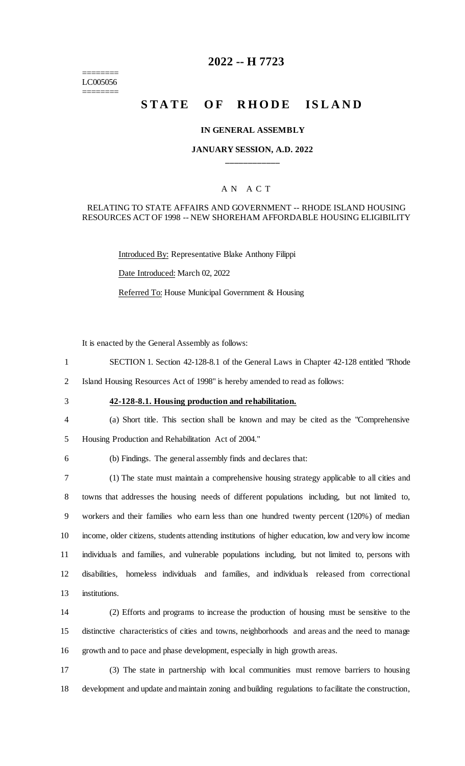======== LC005056 ========

# **2022 -- H 7723**

# **STATE OF RHODE ISLAND**

#### **IN GENERAL ASSEMBLY**

### **JANUARY SESSION, A.D. 2022 \_\_\_\_\_\_\_\_\_\_\_\_**

### A N A C T

### RELATING TO STATE AFFAIRS AND GOVERNMENT -- RHODE ISLAND HOUSING RESOURCES ACT OF 1998 -- NEW SHOREHAM AFFORDABLE HOUSING ELIGIBILITY

Introduced By: Representative Blake Anthony Filippi Date Introduced: March 02, 2022 Referred To: House Municipal Government & Housing

It is enacted by the General Assembly as follows:

- 1 SECTION 1. Section 42-128-8.1 of the General Laws in Chapter 42-128 entitled "Rhode
- 2 Island Housing Resources Act of 1998" is hereby amended to read as follows:
- 

# 3 **42-128-8.1. Housing production and rehabilitation.**

- 4 (a) Short title. This section shall be known and may be cited as the "Comprehensive
- 5 Housing Production and Rehabilitation Act of 2004."
- 

# 6 (b) Findings. The general assembly finds and declares that:

 (1) The state must maintain a comprehensive housing strategy applicable to all cities and towns that addresses the housing needs of different populations including, but not limited to, workers and their families who earn less than one hundred twenty percent (120%) of median income, older citizens, students attending institutions of higher education, low and very low income individuals and families, and vulnerable populations including, but not limited to, persons with disabilities, homeless individuals and families, and individuals released from correctional institutions.

14 (2) Efforts and programs to increase the production of housing must be sensitive to the 15 distinctive characteristics of cities and towns, neighborhoods and areas and the need to manage 16 growth and to pace and phase development, especially in high growth areas.

17 (3) The state in partnership with local communities must remove barriers to housing 18 development and update and maintain zoning and building regulations to facilitate the construction,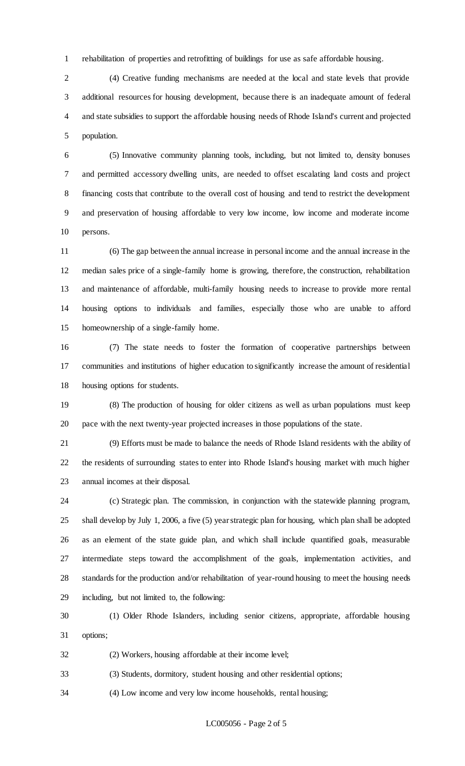rehabilitation of properties and retrofitting of buildings for use as safe affordable housing.

 (4) Creative funding mechanisms are needed at the local and state levels that provide additional resources for housing development, because there is an inadequate amount of federal and state subsidies to support the affordable housing needs of Rhode Island's current and projected population.

 (5) Innovative community planning tools, including, but not limited to, density bonuses and permitted accessory dwelling units, are needed to offset escalating land costs and project financing costs that contribute to the overall cost of housing and tend to restrict the development and preservation of housing affordable to very low income, low income and moderate income persons.

 (6) The gap between the annual increase in personal income and the annual increase in the median sales price of a single-family home is growing, therefore, the construction, rehabilitation and maintenance of affordable, multi-family housing needs to increase to provide more rental housing options to individuals and families, especially those who are unable to afford homeownership of a single-family home.

 (7) The state needs to foster the formation of cooperative partnerships between communities and institutions of higher education to significantly increase the amount of residential housing options for students.

 (8) The production of housing for older citizens as well as urban populations must keep pace with the next twenty-year projected increases in those populations of the state.

 (9) Efforts must be made to balance the needs of Rhode Island residents with the ability of the residents of surrounding states to enter into Rhode Island's housing market with much higher annual incomes at their disposal.

 (c) Strategic plan. The commission, in conjunction with the statewide planning program, shall develop by July 1, 2006, a five (5) year strategic plan for housing, which plan shall be adopted as an element of the state guide plan, and which shall include quantified goals, measurable intermediate steps toward the accomplishment of the goals, implementation activities, and standards for the production and/or rehabilitation of year-round housing to meet the housing needs including, but not limited to, the following:

 (1) Older Rhode Islanders, including senior citizens, appropriate, affordable housing options;

(2) Workers, housing affordable at their income level;

(3) Students, dormitory, student housing and other residential options;

(4) Low income and very low income households, rental housing;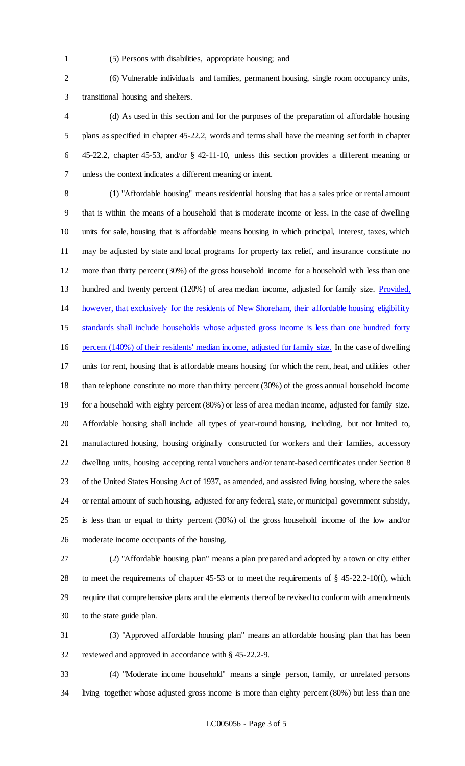- 
- (5) Persons with disabilities, appropriate housing; and

 (6) Vulnerable individuals and families, permanent housing, single room occupancy units, transitional housing and shelters.

 (d) As used in this section and for the purposes of the preparation of affordable housing plans as specified in chapter 45-22.2, words and terms shall have the meaning set forth in chapter 45-22.2, chapter 45-53, and/or § 42-11-10, unless this section provides a different meaning or unless the context indicates a different meaning or intent.

 (1) "Affordable housing" means residential housing that has a sales price or rental amount that is within the means of a household that is moderate income or less. In the case of dwelling units for sale, housing that is affordable means housing in which principal, interest, taxes, which may be adjusted by state and local programs for property tax relief, and insurance constitute no more than thirty percent (30%) of the gross household income for a household with less than one 13 hundred and twenty percent (120%) of area median income, adjusted for family size. Provided, however, that exclusively for the residents of New Shoreham, their affordable housing eligibility standards shall include households whose adjusted gross income is less than one hundred forty percent (140%) of their residents' median income, adjusted for family size. In the case of dwelling units for rent, housing that is affordable means housing for which the rent, heat, and utilities other than telephone constitute no more than thirty percent (30%) of the gross annual household income for a household with eighty percent (80%) or less of area median income, adjusted for family size. Affordable housing shall include all types of year-round housing, including, but not limited to, manufactured housing, housing originally constructed for workers and their families, accessory dwelling units, housing accepting rental vouchers and/or tenant-based certificates under Section 8 of the United States Housing Act of 1937, as amended, and assisted living housing, where the sales or rental amount of such housing, adjusted for any federal, state, or municipal government subsidy, is less than or equal to thirty percent (30%) of the gross household income of the low and/or moderate income occupants of the housing.

 (2) "Affordable housing plan" means a plan prepared and adopted by a town or city either to meet the requirements of chapter 45-53 or to meet the requirements of § 45-22.2-10(f), which require that comprehensive plans and the elements thereof be revised to conform with amendments to the state guide plan.

 (3) "Approved affordable housing plan" means an affordable housing plan that has been reviewed and approved in accordance with § 45-22.2-9.

 (4) "Moderate income household" means a single person, family, or unrelated persons living together whose adjusted gross income is more than eighty percent (80%) but less than one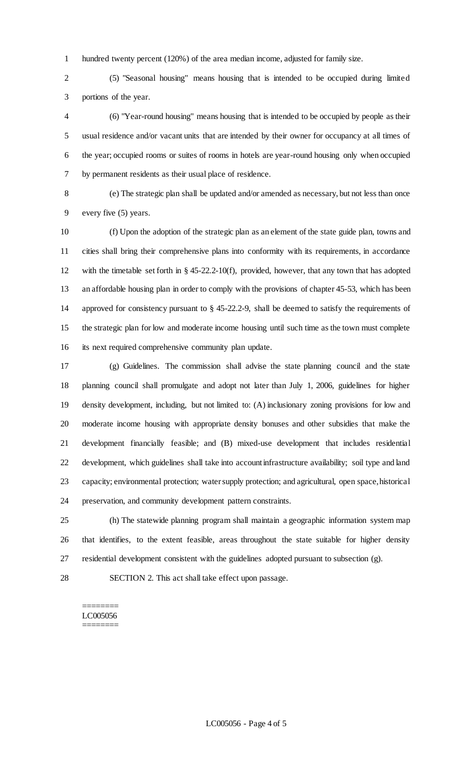hundred twenty percent (120%) of the area median income, adjusted for family size.

 (5) "Seasonal housing" means housing that is intended to be occupied during limited portions of the year.

 (6) "Year-round housing" means housing that is intended to be occupied by people as their usual residence and/or vacant units that are intended by their owner for occupancy at all times of the year; occupied rooms or suites of rooms in hotels are year-round housing only when occupied by permanent residents as their usual place of residence.

 (e) The strategic plan shall be updated and/or amended as necessary, but not less than once every five (5) years.

 (f) Upon the adoption of the strategic plan as an element of the state guide plan, towns and cities shall bring their comprehensive plans into conformity with its requirements, in accordance with the timetable set forth in § 45-22.2-10(f), provided, however, that any town that has adopted an affordable housing plan in order to comply with the provisions of chapter 45-53, which has been approved for consistency pursuant to § 45-22.2-9, shall be deemed to satisfy the requirements of the strategic plan for low and moderate income housing until such time as the town must complete its next required comprehensive community plan update.

 (g) Guidelines. The commission shall advise the state planning council and the state planning council shall promulgate and adopt not later than July 1, 2006, guidelines for higher density development, including, but not limited to: (A) inclusionary zoning provisions for low and moderate income housing with appropriate density bonuses and other subsidies that make the development financially feasible; and (B) mixed-use development that includes residential development, which guidelines shall take into account infrastructure availability; soil type and land capacity; environmental protection; water supply protection; and agricultural, open space, historical preservation, and community development pattern constraints.

 (h) The statewide planning program shall maintain a geographic information system map that identifies, to the extent feasible, areas throughout the state suitable for higher density residential development consistent with the guidelines adopted pursuant to subsection (g).

SECTION 2. This act shall take effect upon passage.

#### ======== LC005056 ========